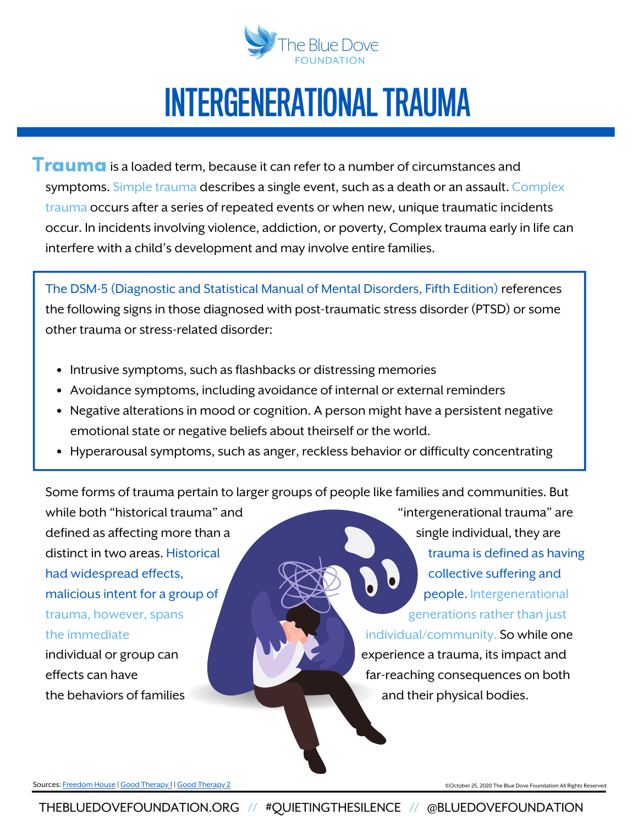

Trauma is a loaded term, because it can refer to a number of circumstances and symptoms. Simple trauma describes a single event, such as a death or an assault. Complex trauma occurs after a series of repeated events or when new, unique traumatic incidents occur. In incidents involving violence, addiction, or poverty, Complex [trauma](https://www.goodtherapy.org/blog/treating-complex-trauma-with-emotion-focused-therapy-0826184) early in life can interfere with a child's development and may involve entire families.

The DSM-5 (Diagnostic and Statistical Manual of Mental Disorders, Fifth Edition) references the following signs in those diagnosed with post-traumatic stress disorder (PTSD) or some other trauma orstress-related disorder:

- Intrusive symptoms, such as flashbacks or distressing memories
- Avoidance symptoms, including avoidance of internal or external reminders
- Negative alterations in mood or cognition. A person might have a persistent negative emotional state or negative beliefs about theirself or the world.
- Hyperarousal symptoms, such as anger, reckless behavior or difficulty concentrating

Some forms of trauma pertain to larger groups of people like families and communities. But

while both "historical trauma" and "intergenerational trauma" are defined as affecting more than a single individual, they are distinct in two areas. Historical trauma is defined as having had widespread effects,  $\bigcup_{n=1}^{\infty}$  and  $\bigcup_{n=1}^{\infty}$  and  $\bigcup_{n=1}^{\infty}$  collective suffering and malicious intent for a group of  $\overline{p}$   $\overline{p}$   $\overline{p}$   $\overline{p}$  people. Intergenerational trauma, however, spans generations rather than just

the immediate individual/community. So while one individual or group can experience a trauma, its impact and effects can have **far-reaching consequences on both** the behaviors of families **and their physical bodies.** A land their physical bodies.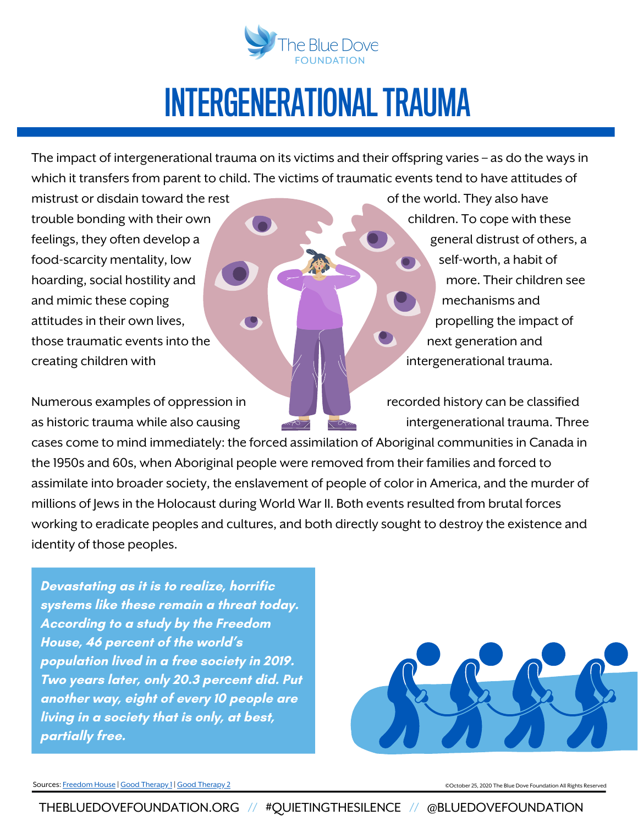

The impact of intergenerational trauma on its victims and their offspring varies  $-$  as do the ways in which it transfers from parent to child. The victims of traumatic events tend to have attitudes of

mistrust or disdain toward the rest of the world. They also have trouble bonding with their own children. To cope with these feelings, they often develop a general distrust of others, a food-scarcity mentality, low self-worth, a habit of hoarding, social hostility and **more.** Their children see and mimic these coping mechanisms and mechanisms and attitudes in their own lives, propelling the impact of those traumatic events into the next generation and creating children with intergenerational trauma.

Numerous examples of oppression in Terminon and Recorded history can be classified as historic trauma while also causing intergenerational trauma. Three

cases come to mind immediately: the forced assimilation of Aboriginal communities in Canada in the 1950s and 60s, when Aboriginal people were removed from their families and forced to assimilate into broader society, the enslavement of people of color in America, and the murder of millions of Jews in the Holocaust during World War II. Both events resulted from brutal forces working to eradicate peoples and cultures, and both directly sought to destroy the existence and identity of those peoples.

**Devastating as it is to realize, horrific systems like these remain a threat today. According to a study by the Freedom House, 46 percent of the world's population lived in a free society in 2019. Two years later, only 20.3 percent did. Put another way, eight of every 10 people are living in a society that is only, at best, partially free.**



Sources: [Freedom](https://freedomhouse.org/report/freedom-world/2022/global-expansion-authoritarian-rule) House | Good [Therapy](https://www.goodtherapy.org/blog/Understanding_Intergenerational_Trauma) 1 | Good Therapy 2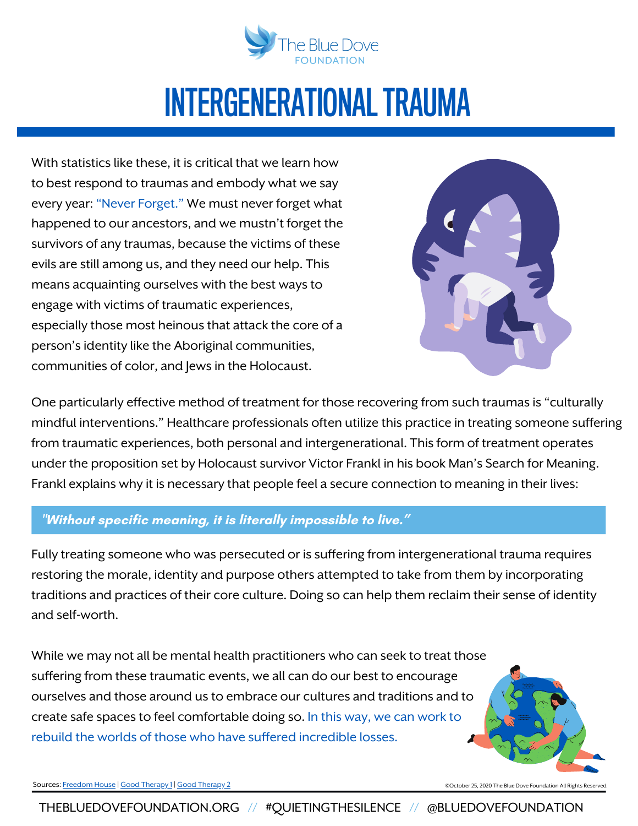

With statistics like these, it is critical that we learn how to best respond to traumas and embody what we say every year: "Never Forget." We must never forget what happened to our ancestors, and we mustn't forget the survivors of any traumas, because the victims of these evils are still among us, and they need our help. This means acquainting ourselves with the best ways to engage with victims of traumatic experiences, especially those most heinous that attack the core of a person'sidentity like the Aboriginal communities, communities of color, and Jewsin the Holocaust.



One particularly effective method of treatment for those recovering from such traumas is "culturally mindful interventions." Healthcare professionals often utilize this practice in treating someone suffering from traumatic experiences, both personal and intergenerational. This form of treatment operates under the proposition set by Holocaust survivor Victor Frankl in his book Man's Search for Meaning. Frankl explains why it is necessary that people feel a secure connection to meaning in their lives:

#### **"Without specific meaning, it is literally impossible to live."**

Fully treating someone who was persecuted or is suffering from intergenerational trauma requires restoring the morale, identity and purpose others attempted to take from them by incorporating traditions and practices of their core culture. Doing so can help them reclaim their sense of identity and self-worth.

While we may not all be mental health practitioners who can seek to treat those suffering from these traumatic events, we all can do our best to encourage ourselves and those around us to embrace our cultures and traditions and to create safe spaces to feel comfortable doing so. In this way, we can work to rebuild the worlds of those who have suffered incredible losses.



Sources: [Freedom](https://freedomhouse.org/report/freedom-world/2022/global-expansion-authoritarian-rule) House | Good [Therapy](https://www.goodtherapy.org/blog/Understanding_Intergenerational_Trauma) 1 | Good Therapy 2